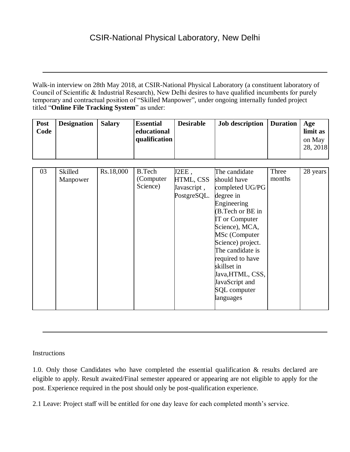Council of Scientific & Industrial Research), New Delhi desires to have qualified incumbents for purely temporary and contractual position of "Skilled Manpower", under ongoing internally funded project titled "**Online File Tracking System**" as under: Walk-in interview on 28th May 2018, at CSIR-National Physical Laboratory (a constituent laboratory of

| Post<br>Code | <b>Designation</b> | Salary | <b>Essential</b><br>educational<br>qualification | <b>Desirable</b> | <b>Job description</b> Duration |  | Age<br>limit as<br>on May<br>28, 2018 |
|--------------|--------------------|--------|--------------------------------------------------|------------------|---------------------------------|--|---------------------------------------|
|--------------|--------------------|--------|--------------------------------------------------|------------------|---------------------------------|--|---------------------------------------|

| 03 | <b>Skilled</b><br>Manpower | Rs.18,000 | <b>B.Tech</b><br>(Computer)<br>Science) | J2EE,<br>HTML, CSS<br>Javascript,<br>PostgreSQL. | The candidate<br>should have<br>completed UG/PG<br>degree in<br>Engineering<br>(B.Tech or BE in<br><b>IT</b> or Computer<br>Science), MCA,<br>MSc (Computer<br>Science) project.<br>The candidate is<br>required to have<br>skillset in<br>Java, HTML, CSS,<br>JavaScript and<br><b>SQL</b> computer<br>languages | Three<br>months | 28 years |
|----|----------------------------|-----------|-----------------------------------------|--------------------------------------------------|-------------------------------------------------------------------------------------------------------------------------------------------------------------------------------------------------------------------------------------------------------------------------------------------------------------------|-----------------|----------|
|    |                            |           |                                         |                                                  |                                                                                                                                                                                                                                                                                                                   |                 |          |

Instructions

1.0. Only those Candidates who have completed the essential qualification & results declared are eligible to apply. Result awaited/Final semester appeared or appearing are not eligible to apply for the post. Experience required in the post should only be post-qualification experience.

2.1 Leave: Project staff will be entitled for one day leave for each completed month's service.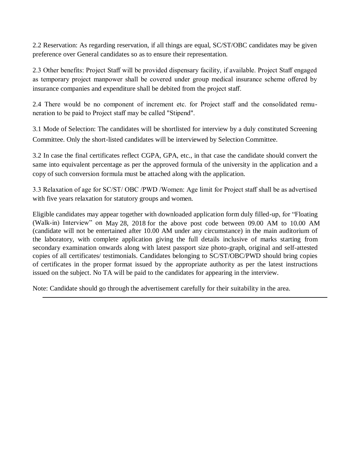2.2 Reservation: As regarding reservation, if all things are equal, SC/ST/OBC candidates may be given preference over General candidates so as to ensure their representation.

2.3 Other benefits: Project Staff will be provided dispensary facility, if available. Project Staff engaged as temporary project manpower shall be covered under group medical insurance scheme offered by insurance companies and expenditure shall be debited from the project staff.

2.4 There would be no component of increment etc. for Project staff and the consolidated remuneration to be paid to Project staff may be called "Stipend".

3.1 Mode of Selection: The candidates will be shortlisted for interview by a duly constituted Screening Committee. Only the short-listed candidates will be interviewed by Selection Committee.

3.2 In case the final certificates reflect CGPA, GPA, etc., in that case the candidate should convert the same into equivalent percentage as per the approved formula of the university in the application and a copy of such conversion formula must be attached along with the application.

3.3 Relaxation of age for SC/ST/ OBC /PWD /Women: Age limit for Project staff shall be as advertised with five years relaxation for statutory groups and women.

Eligible candidates may appear together with downloaded application form duly filled-up, for "Floating (Walk-in) Interview" on May 28, 2018 for the above post code between 09.00 AM to 10.00 AM (candidate will not be entertained after 10.00 AM under any circumstance) in the main auditorium of the laboratory, with complete application giving the full details inclusive of marks starting from secondary examination onwards along with latest passport size photo-graph, original and self-attested copies of all certificates/ testimonials. Candidates belonging to SC/ST/OBC/PWD should bring copies of certificates in the proper format issued by the appropriate authority as per the latest instructions issued on the subject. No TA will be paid to the candidates for appearing in the interview.

Note: Candidate should go through the advertisement carefully for their suitability in the area.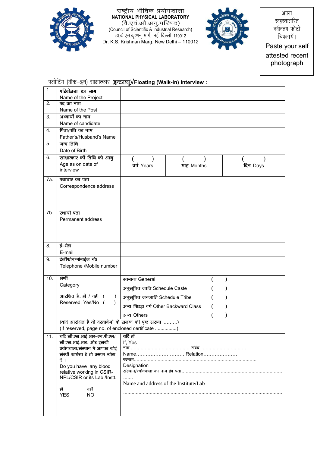

राष्ट्रीय भौतिक प्रयोगशाला<br>NATIONAL PHYSICAL LABORATORY NATIONAL PHTSICAL LABORATORY<br>(दो एवं औे अनु परिषद)<br>(Council of Scientific & Industrial Research)<br>डा़के.एस.कृष्णन् मार्ग, नई दिल्ली 110012<br>Dr. K.S. Krishnan Marg, New Delhi – 110012



अपना स्वहस्ताक्षरित नवीनतम फोटो चिपकायें । Paste your self attested recent photograph

## फ्लोटिंग (वॉक-इन) साक्षात्कार (इन्टरव्यू)/Floating (Walk-in) Interview :

| 1.  | परियोजना का नाम                                                                                                                                                                                                                                                  |                                                                                                 |            |          |
|-----|------------------------------------------------------------------------------------------------------------------------------------------------------------------------------------------------------------------------------------------------------------------|-------------------------------------------------------------------------------------------------|------------|----------|
| 2.  | Name of the Project<br>पद का नाम                                                                                                                                                                                                                                 |                                                                                                 |            |          |
|     | Name of the Post                                                                                                                                                                                                                                                 |                                                                                                 |            |          |
| 3.  | अभ्यार्थी का नाम                                                                                                                                                                                                                                                 |                                                                                                 |            |          |
|     | Name of candidate                                                                                                                                                                                                                                                |                                                                                                 |            |          |
| 4.  | पिता/पति का नाम<br>Father's/Husband's Name                                                                                                                                                                                                                       |                                                                                                 |            |          |
| 5.  | जन्म तिथि<br>Date of Birth                                                                                                                                                                                                                                       |                                                                                                 |            |          |
| 6.  | साक्षात्कार की तिथि को आयु<br>Age as on date of<br>interview                                                                                                                                                                                                     | वर्ष Years                                                                                      | माह Months | दिन Days |
| 7а. | पत्राचार का पता<br>Correspondence address                                                                                                                                                                                                                        |                                                                                                 |            |          |
| 7b. | स्थायी पता<br>Permanent address                                                                                                                                                                                                                                  |                                                                                                 |            |          |
| 8.  | ई–मेल<br>E-mail                                                                                                                                                                                                                                                  |                                                                                                 |            |          |
| 9.  | टेलीफोन/मोबाईल नं0<br>Telephone /Mobile number                                                                                                                                                                                                                   |                                                                                                 |            |          |
| 10. | श्रेणी                                                                                                                                                                                                                                                           | सामान्य General                                                                                 |            |          |
|     | Category                                                                                                                                                                                                                                                         | अनुसूचित जाति Schedule Caste                                                                    |            |          |
|     | आरक्षित है, हॉ / नहीं (<br>$\lambda$                                                                                                                                                                                                                             | अनुसूचित जनजाति Schedule Tribe                                                                  |            |          |
|     | Reserved, Yes/No (                                                                                                                                                                                                                                               | अन्य पिछड़ा वर्ग Other Backward Class                                                           |            |          |
|     |                                                                                                                                                                                                                                                                  | अन्य Others                                                                                     |            |          |
|     | (यदि आरक्षित है तो दस्तावेजों के संलग्न की पृष्ठ संख्या )<br>(If reserved, page no. of enclosed certificate )                                                                                                                                                    |                                                                                                 |            |          |
| 11. | यदि सी.एस.आई.आर-एन.पी.एल/<br>सी.एस.आई.आर. और इसकी<br>प्रयोगथाला/संस्थान में आपका कोई<br>संबंधी कार्यरत है तो उसका ब्यौरा<br>दें ।<br>Do you have any blood<br>relative working in CSIR-<br>NPL/CSIR or its Lab./Instt.<br>हाँ<br>नहीं<br><b>YES</b><br><b>NO</b> | यदि हॉ<br>If, Yes<br>Name Relation<br>Designation<br>.<br>Name and address of the Institute/Lab |            |          |